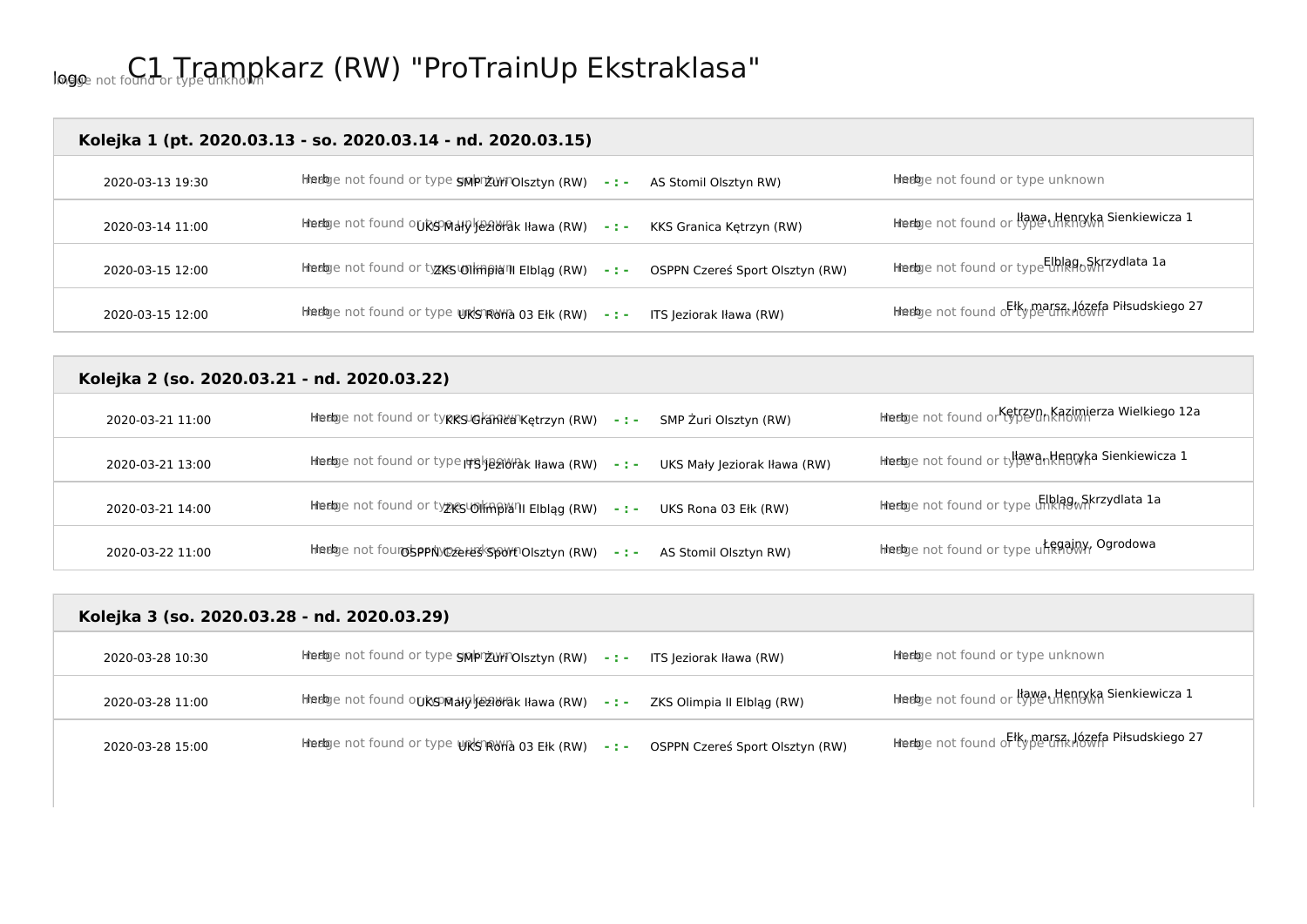## logo Image not found or type unknown C1 Trampkarz (RW) "ProTrainUp Ekstraklasa"

#### **Kolejka 1 (pt. 2020.03.13 - so. 2020.03.14 - nd. 2020.03.15)**

| 2020-03-13 19:30 | Hiedge not found or type grip by Tolsztyn (RW) -: - AS Stomil Olsztyn RW)             | Heebye not found or type unknown                                            |
|------------------|---------------------------------------------------------------------------------------|-----------------------------------------------------------------------------|
| 2020-03-14 11:00 | hteebge not found ouksomaly Geautak Hawa (RW) -:- KKS Granica Kętrzyn (RW)            | hhedge not found or type uffentyka Sienkiewicza 1                           |
| 2020-03-15 12:00 | hinenge not found or tyzks\01 m pia" Elbląg (RW) -: - OSPPN Czeres Sport Olsztyn (RW) | lileeloge not found or type <mark>tlblag<sub>to</sub> S</mark> krzydlata 1a |
| 2020-03-15 12:00 | Hinedage not found or type UKSRUHa 03 Ełk (RW) -:- ITS Jeziorak Iława (RW)            | Hiedge not found of type unknown Piłsudskiego 27                            |

## **Kolejka 2 (so. 2020.03.21 - nd. 2020.03.22)**  2020-03-21 11:00 **herbe herb Image Herb Image 12a** Herb India (RW) - : - SMP Żuri Olsztyn (RW) Herb Image not found or tentrzyn Kazimierza Wielkiego 12a 2020-03-21 13:00 **herbe herb Image image in the Altawa (RW) - : -** UKS Mały Jeziorak Iława (RW) herbe not found or type interpentiewicza 1 2020-03-21 14:00 **herb**e not found or tyzkslown and India India India India India India India India India India In 2020-03-22 11:00 Herb Intedige not found sport Olsztyn (RW) -: - AS Stomil Olsztyn RW) Herb Intedige not found or type unknown Ogrodowa

|                  | Kolejka 3 (so. 2020.03.28 - nd. 2020.03.29)                                                   |                                                    |
|------------------|-----------------------------------------------------------------------------------------------|----------------------------------------------------|
| 2020-03-28 10:30 | hhedge not found or type graph 2011 Olsztyn (RW) - : -<br>ITS Jeziorak Iława (RW)             | Heebye not found or type unknown                   |
| 2020-03-28 11:00 | Hiedoge not found o <b>uksoMalylje2idfak Ilawa (RW)   - : -</b><br>ZKS Olimpia II Elbląg (RW) | liteetoe not found or llawa Henryka Sienkiewicza 1 |

| 2020-03-28 15:00 | Hiedge not found or type UKSTRUHa 03 Ełk (RW) - : - OSPPN Czereś Sport Olsztyn (RW) |  | Hiedge not found of type GRR Józefa Piłsudskiego 27 |
|------------------|-------------------------------------------------------------------------------------|--|-----------------------------------------------------|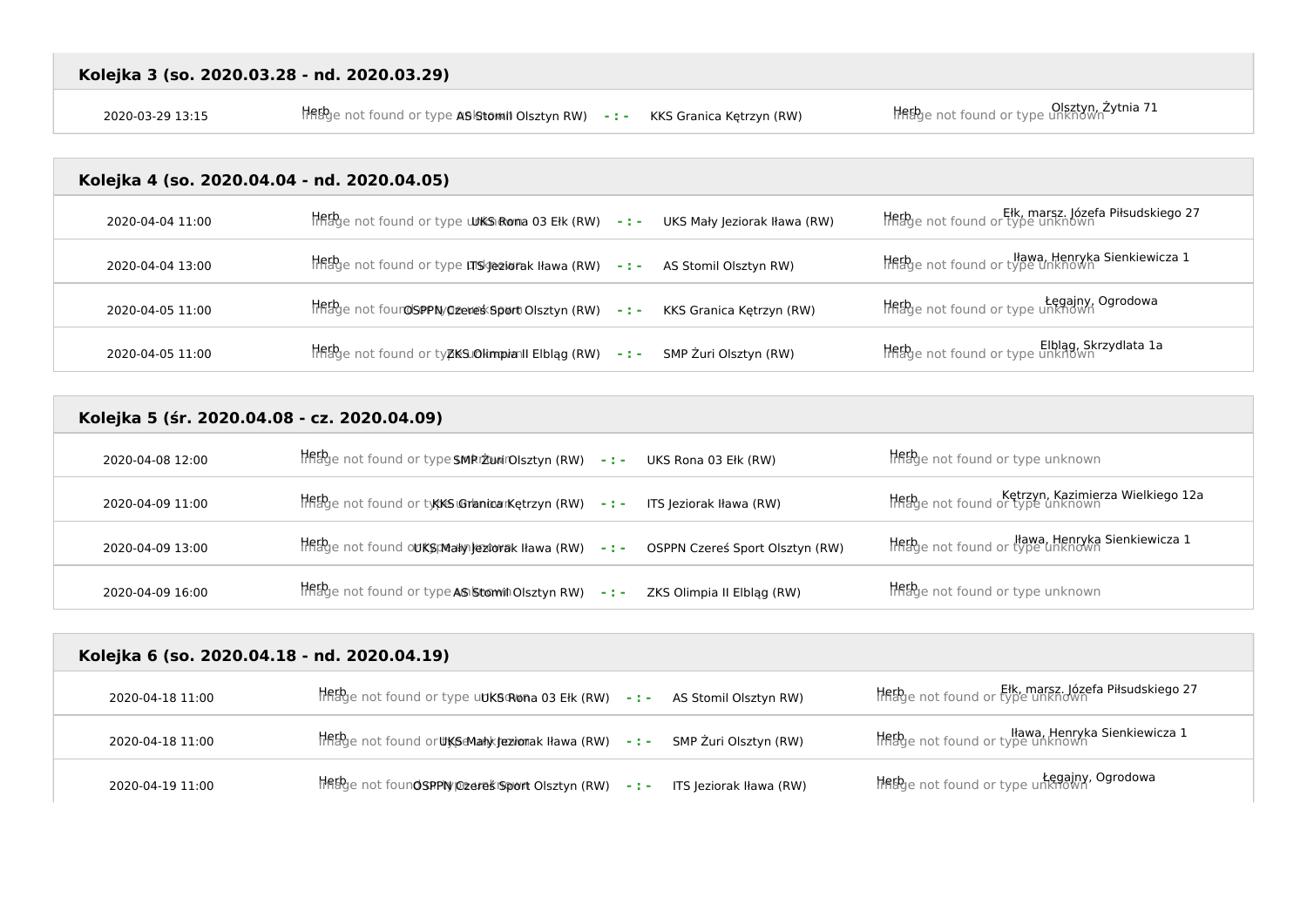Olsztyn, Żytnia 71<br>Herb Image not found or type **ASIStomii Olsztyn RW) - : - KKS Granica Kętrzyn (RW)** Merb Image not found or type unknown

## **Kolejka 4 (so. 2020.04.04 - nd. 2020.04.05)**

| 2020-04-04 11:00 | $H_{\text{B}}^{\text{th}}$ e not found or type <b>WKSRoma 03 Ełk (RW)</b> -: - UKS Mały Jeziorak Iława (RW) |                       | Ełk, marsz. Józefa Piłsudskiego 27<br>Hiflage not found or type unknown |
|------------------|-------------------------------------------------------------------------------------------------------------|-----------------------|-------------------------------------------------------------------------|
| 2020-04-04 13:00 | Hingbye not found or type LTISk Jeziorak Iława (RW) -: - AS Stomil Olsztyn RW)                              |                       | llawa, Henryka Sienkiewicza 1<br>Instruct of type unknown               |
| 2020-04-05 11:00 | HRED <sub>I</sub> e not four OSPPN/Ozeres Sport Olsztyn (RW) -: - KKS Granica Kętrzyn (RW)                  |                       | Legajny, Ogrodowa<br>HRhye not found or type unknown                    |
| 2020-04-05 11:00 | HFFFge not found or typkSJOkimpianII Elbląg (RW) -:-                                                        | SMP Żuri Olsztyn (RW) | Elblag, Skrzydlata 1a<br>HRED e not found or type unknown               |

| Kolejka 5 (śr. 2020.04.08 - cz. 2020.04.09) |                                                                                        |                                                                        |  |
|---------------------------------------------|----------------------------------------------------------------------------------------|------------------------------------------------------------------------|--|
| 2020-04-08 12:00                            | Hethe not found or type SMRIZ union sztyn (RW) -:- UKS Rona 03 Elk (RW)                | Hethe not found or type unknown                                        |  |
| 2020-04-09 11:00                            | Herb <sub>g</sub> e not found or types Grancarketrzyn (RW) -:- ITS Jeziorak Iława (RW) | Ketrzyn, Kazimierza Wielkiego 12a<br>Hiftage not found or type unknown |  |
| 2020-04-09 13:00                            | Herbje not found out Sumally leatorak Hawa (RW) -: - OSPPN Czereś Sport Olsztyn (RW)   | Iława, Henryka Sienkiewicza 1<br>Inage not found or type unknown       |  |
| 2020-04-09 16:00                            | The bye not found or type AS Stom in Olsztyn RW) -:-<br>ZKS Olimpia II Elblag (RW)     | Hebge not found or type unknown                                        |  |

| Kolejka 6 (so. 2020.04.18 - nd. 2020.04.19) |                                                                                                |                                                                       |
|---------------------------------------------|------------------------------------------------------------------------------------------------|-----------------------------------------------------------------------|
| 2020-04-18 11:00                            | $\frac{1}{100}$ and found or type udks Rona 03 Elk (RW) -: - AS Stomil Olsztyn RW)             | Ełk, marsz. Józefa Piłsudskiego 27<br>Hnage not found or type unknown |
| 2020-04-18 11:00                            |                                                                                                | Iława, Henryka Sienkiewicza 1<br>Histye not found or type unknown     |
| 2020-04-19 11:00                            | $\frac{1}{100}$ and foun <b>OSPPIV peressistion</b> Olsztyn (RW) - : - ITS Jeziorak Iława (RW) | Legainy, Ogrodowa<br>Thage not found or type unknown                  |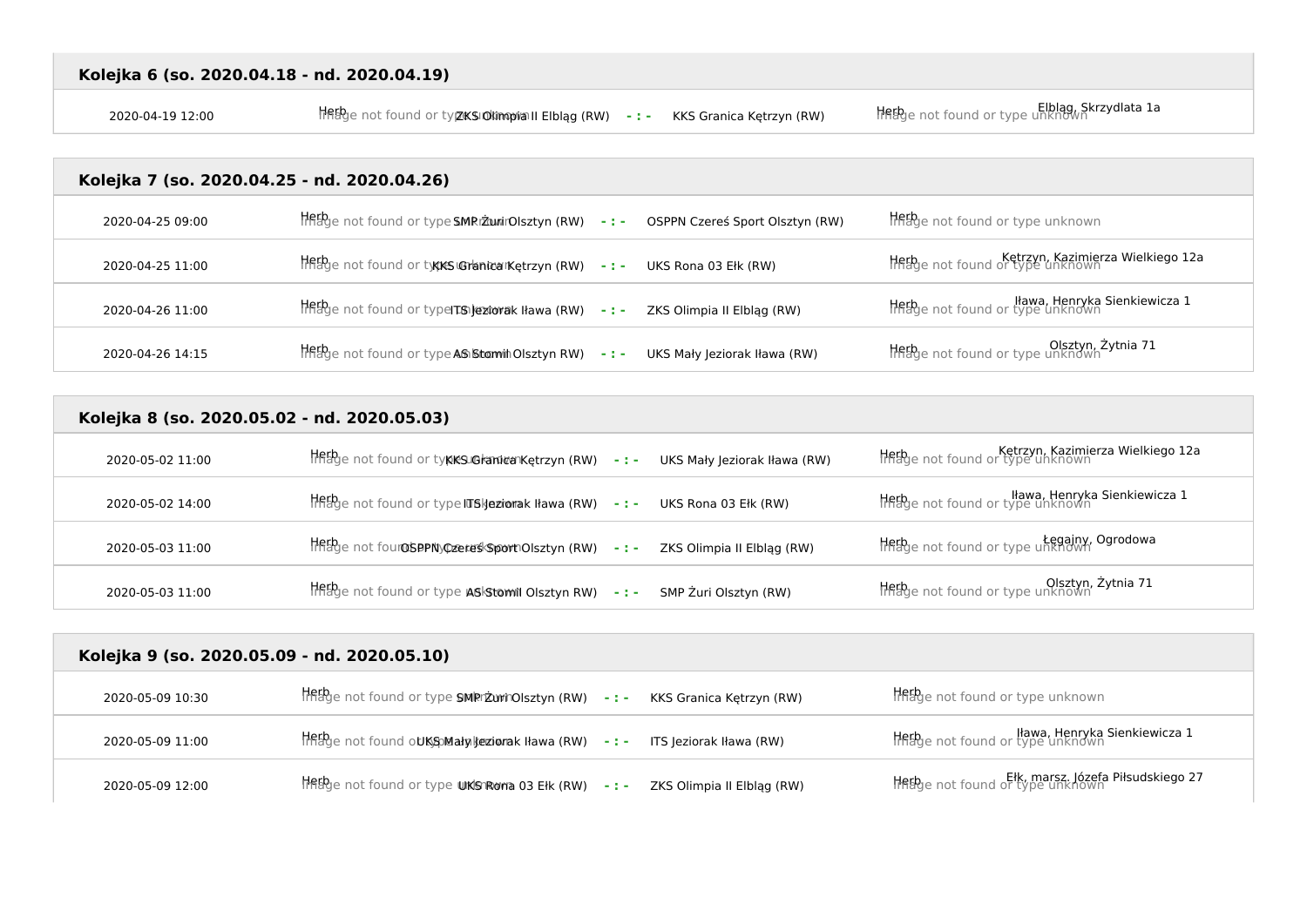Elblag, Skrzydlata 1a<br>Z020-04-19 12:00 Herb Image not found or type to found or type unknown Herb Image not found or type unknown

## **Kolejka 7 (so. 2020.04.25 - nd. 2020.04.26)**

| 2020-04-25 09:00 | lifting that found or type SMRI ZunirOlsztyn (RW) -:-   | OSPPN Czereś Sport Olsztyn (RW) | <b>Herb</b> e not found or type unknown                                     |
|------------------|---------------------------------------------------------|---------------------------------|-----------------------------------------------------------------------------|
| 2020-04-25 11:00 | The bye not found or type Suchanicarket rzyn (RW) - : - | UKS Rona 03 Ełk (RW)            | Ketrzyn, Kazimierza Wielkiego 12a<br>Hiflage not found or type unknown      |
| 2020-04-26 11:00 | Hetbye not found or type TS Jeziorak Ilawa (RW) -:-     | ZKS Olimpia II Elbląg (RW)      | <b>Herb</b> e not found or type unknown<br>Hinage not found or type unknown |
| 2020-04-26 14:15 | THERge not found or type AS Stomin Olsztyn RW) -:-      | UKS Mały Jeziorak Iława (RW)    | Olsztyn, Żytnia 71<br>Histye not found or type unknown                      |

## **Kolejka 8 (so. 2020.05.02 - nd. 2020.05.03)**

| 2020-05-02 11:00 | Herb <sub>y</sub> e not found or ty <b>kks.GranivanKetrzyn (RW) - : - UKS Mały Jeziorak Iława (RW)</b> | Ketrzyn, Kazimierza Wielkiego 12a<br>Hflage not found or type unknown |
|------------------|--------------------------------------------------------------------------------------------------------|-----------------------------------------------------------------------|
| 2020-05-02 14:00 | HRED en ot found or type ITSI jeziorak I lawa (RW) -: - UKS Rona 03 Elk (RW)                           | llawa, Henryka Sienkiewicza 1<br>Thebye not found or type unknown     |
| 2020-05-03 11:00 | HRED e not four OSPPNy Czereś Sport Olsztyn (RW) -: - ZKS Olimpia II Elbląg (RW)                       | Legajny, Ogrodowa<br>HRHge not found or type unknown                  |
| 2020-05-03 11:00 | Hetbye not found or type ASIStomil Olsztyn RW) - : -<br>SMP Żuri Olsztyn (RW)                          | Olsztyn, Żytnia 71                                                    |

| Kolejka 9 (so. 2020.05.09 - nd. 2020.05.10) |                                                                                                                                                                                                                                                                         |                                                                       |  |
|---------------------------------------------|-------------------------------------------------------------------------------------------------------------------------------------------------------------------------------------------------------------------------------------------------------------------------|-----------------------------------------------------------------------|--|
| 2020-05-09 10:30                            | $\frac{1}{100}$ and found or type SMRrizurinOlsztyn (RW) -: - KKS Granica Kętrzyn (RW)                                                                                                                                                                                  | <b>Het</b> be not found or type unknown                               |  |
| 2020-05-09 11:00                            | $\frac{1}{100}$ and found outs and the signal state is a set of $\frac{1}{100}$ and $\frac{1}{100}$ and $\frac{1}{100}$ and $\frac{1}{100}$ and $\frac{1}{100}$ and $\frac{1}{100}$ and $\frac{1}{100}$ and $\frac{1}{100}$ and $\frac{1}{100}$ and $\frac{1}{100}$ and | Iława, Henryka Sienkiewicza 1<br>Inage not found or type unknown      |  |
| 2020-05-09 12:00                            | $\frac{1}{100}$ and found or type UKS Roma 03 Elk (RW) -: - ZKS Olimpia II Elbląg (RW)                                                                                                                                                                                  | Ełk, marsz. Józefa Piłsudskiego 27<br>HABge not found or type unknown |  |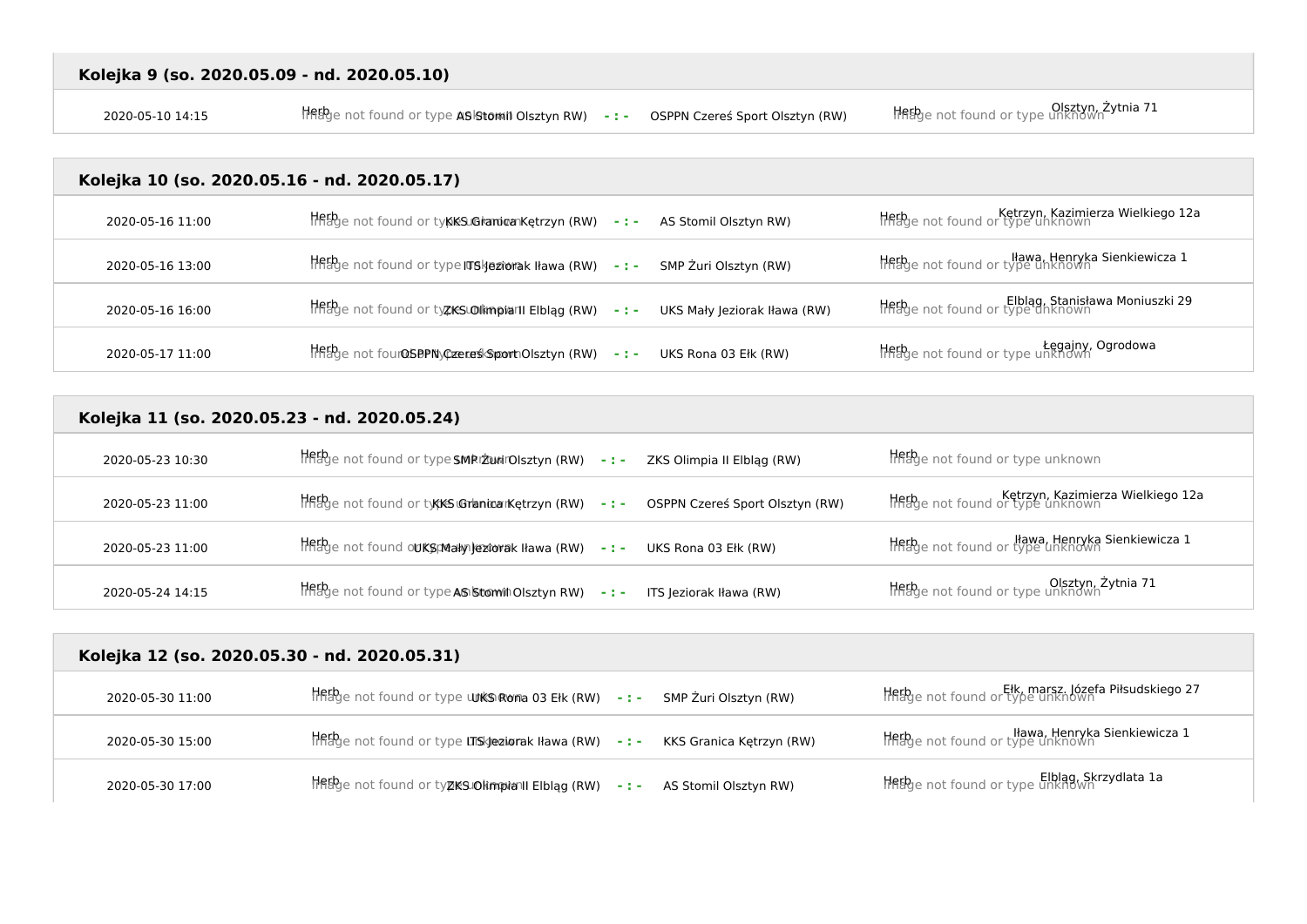2020-05-10 14:15 Herb Image not found or type unknown AS Stomil Olsztyn RW) **- : -** OSPPN Czereś Sport Olsztyn (RW) Herb Image not found or type unknown Olsztyn, Żytnia 71

### **Kolejka 10 (so. 2020.05.16 - nd. 2020.05.17)**

| 2020-05-16 11:00 | HftBge not found or tykkSJGranica Kętrzyn (RW) -: - AS Stomil Olsztyn RW) |                              | Ketrzyn, Kazimierza Wielkiego 12a<br>Hflage not found or type unknown |
|------------------|---------------------------------------------------------------------------|------------------------------|-----------------------------------------------------------------------|
| 2020-05-16 13:00 | Herbje not found or type ITSI jeziorak I lawa (RW) - : -                  | SMP Żuri Olsztyn (RW)        | Iława, Henryka Sienkiewicza 1<br>HRBge not found or type unknown      |
| 2020-05-16 16:00 | HFFbge not found or ty <b>zkSLOIimpiarII EIbląg (RW)     - : -</b>        | UKS Mały Jeziorak Iława (RW) | Elblag, Stanisława Moniuszki 29<br>HRBge not found or type unknown    |
| 2020-05-17 11:00 | Herbe not four OSPPNy Czereś Sport Olsztyn (RW) - : -                     | UKS Rona 03 Ełk (RW)         | Legajny, Ogrodowa<br>HFRge not found or type unknown                  |

## **Kolejka 11 (so. 2020.05.23 - nd. 2020.05.24)**

| 2020-05-23 10:30 | Hetbye not found or type SMRIZ unirOlsztyn (RW) - : -<br>ZKS Olimpia II Elblag (RW) | <b>Herb</b> e not found or type unknown                              |
|------------------|-------------------------------------------------------------------------------------|----------------------------------------------------------------------|
| 2020-05-23 11:00 | Herbje not found or typics Granicarketrzyn (RW) -:- OSPPN Czereś Sport Olsztyn (RW) | Ketrzyn, Kazimierza Wielkiego 12a<br>Thage not found or type unknown |
| 2020-05-23 11:00 | Hetbge not found out SpMaky lextorak Hawa (RW) -:- UKS Rona 03 Elk (RW)             | Iława, Henryka Sienkiewicza 1<br>Histye not found or type unknown    |
| 2020-05-24 14:15 | Hetbye not found or type AS Stom in Olsztyn RW) -:-<br>ITS Jeziorak Iława (RW)      | Olsztyn, Żytnia 71<br>HREge not found or type unknown                |

# **Kolejka 12 (so. 2020.05.30 - nd. 2020.05.31)**  2020-05-30 11:00 **Herb**e not found or type **unks Rona 03 Ełk (RW) - : -** SMP Żuri Olsztyn (RW) Herb Inknown Ełk, marsz. Józefa Piłsudskiego 27 Itawa, Henryka Sienkiewicza I<br>2020-05-30 15:00 Herb Image not found or type unsigeziorak Iława (RW) - : - **KKS Granica Kętrzyn (RW)** Inage not found or type unknown 2020-05-30 17:00 **Herb** Image not found or ty**zks olimpia II Elbląg (RW)** - : - **AS Stomil Olsztyn RW)** Herb Intition or type unknown